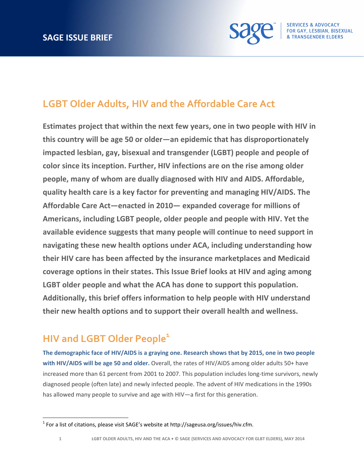

## **LGBT Older Adults, HIV and the Affordable Care Act**

**Estimates project that within the next few years, one in two people with HIV in this country will be age 50 or older—an epidemic that has disproportionately impacted lesbian, gay, bisexual and transgender (LGBT) people and people of color since its inception. Further, HIV infections are on the rise among older people, many of whom are dually diagnosed with HIV and AIDS. Affordable, quality health care is a key factor for preventing and managing HIV/AIDS. The Affordable Care Act—enacted in 2010— expanded coverage for millions of Americans, including LGBT people, older people and people with HIV. Yet the available evidence suggests that many people will continue to need support in navigating these new health options under ACA, including understanding how their HIV care has been affected by the insurance marketplaces and Medicaid coverage options in their states. This Issue Brief looks at HIV and aging among LGBT older people and what the ACA has done to support this population. Additionally, this brief offers information to help people with HIV understand their new health options and to support their overall health and wellness.** 

# **HIV** and LGBT Older People<sup>1</sup>

**The demographic face of HIV/AIDS is a graying one. Research shows that by 2015, one in two people with HIV/AIDS will be age 50 and older.** Overall, the rates of HIV/AIDS among older adults 50+ have increased more than 61 percent from 2001 to 2007. This population includes long-time survivors, newly diagnosed people (often late) and newly infected people. The advent of HIV medications in the 1990s has allowed many people to survive and age with HIV—a first for this generation.

 $1$  For a list of citations, please visit SAGE's website at http://sageusa.org/issues/hiv.cfm.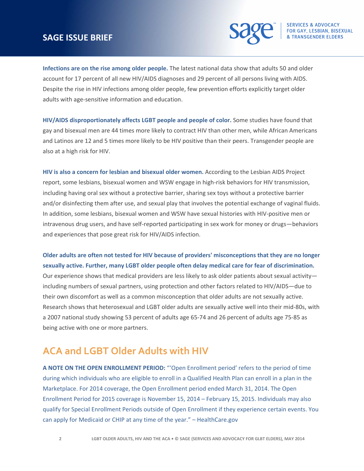#### **SAGE ISSUE BRIEF**



**Infections are on the rise among older people.** The latest national data show that adults 50 and older account for 17 percent of all new HIV/AIDS diagnoses and 29 percent of all persons living with AIDS. Despite the rise in HIV infections among older people, few prevention efforts explicitly target older adults with age‐sensitive information and education.

**HIV/AIDS disproportionately affects LGBT people and people of color.** Some studies have found that gay and bisexual men are 44 times more likely to contract HIV than other men, while African Americans and Latinos are 12 and 5 times more likely to be HIV positive than their peers. Transgender people are also at a high risk for HIV.

**HIV is also a concern for lesbian and bisexual older women.** According to the Lesbian AIDS Project report, some lesbians, bisexual women and WSW engage in high-risk behaviors for HIV transmission, including having oral sex without a protective barrier, sharing sex toys without a protective barrier and/or disinfecting them after use, and sexual play that involves the potential exchange of vaginal fluids. In addition, some lesbians, bisexual women and WSW have sexual histories with HIV‐positive men or intravenous drug users, and have self‐reported participating in sex work for money or drugs—behaviors and experiences that pose great risk for HIV/AIDS infection.

**Older adults are often not tested for HIV because of providers' misconceptions that they are no longer sexually active. Further, many LGBT older people often delay medical care for fear of discrimination.** Our experience shows that medical providers are less likely to ask older patients about sexual activity including numbers of sexual partners, using protection and other factors related to HIV/AIDS—due to their own discomfort as well as a common misconception that older adults are not sexually active. Research shows that heterosexual and LGBT older adults are sexually active well into their mid‐80s, with a 2007 national study showing 53 percent of adults age 65‐74 and 26 percent of adults age 75‐85 as being active with one or more partners.

### **ACA and LGBT Older Adults with HIV**

**A NOTE ON THE OPEN ENROLLMENT PERIOD:** "'Open Enrollment period' refers to the period of time during which individuals who are eligible to enroll in a Qualified Health Plan can enroll in a plan in the Marketplace. For 2014 coverage, the Open Enrollment period ended March 31, 2014. The Open Enrollment Period for 2015 coverage is November 15, 2014 – February 15, 2015. Individuals may also qualify for Special Enrollment Periods outside of Open Enrollment if they experience certain events. You can apply for Medicaid or CHIP at any time of the year." – HealthCare.gov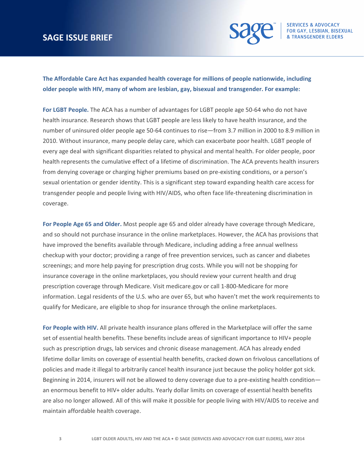#### **SAGE ISSUE BRIEF**



**The Affordable Care Act has expanded health coverage for millions of people nationwide, including older people with HIV, many of whom are lesbian, gay, bisexual and transgender. For example:**

**For LGBT People.** The ACA has a number of advantages for LGBT people age 50‐64 who do not have health insurance. Research shows that LGBT people are less likely to have health insurance, and the number of uninsured older people age 50‐64 continues to rise—from 3.7 million in 2000 to 8.9 million in 2010. Without insurance, many people delay care, which can exacerbate poor health. LGBT people of every age deal with significant disparities related to physical and mental health. For older people, poor health represents the cumulative effect of a lifetime of discrimination. The ACA prevents health insurers from denying coverage or charging higher premiums based on pre-existing conditions, or a person's sexual orientation or gender identity. This is a significant step toward expanding health care access for transgender people and people living with HIV/AIDS, who often face life‐threatening discrimination in coverage.

**For People Age 65 and Older.** Most people age 65 and older already have coverage through Medicare, and so should not purchase insurance in the online marketplaces. However, the ACA has provisions that have improved the benefits available through Medicare, including adding a free annual wellness checkup with your doctor; providing a range of free prevention services, such as cancer and diabetes screenings; and more help paying for prescription drug costs. While you will not be shopping for insurance coverage in the online marketplaces, you should review your current health and drug prescription coverage through Medicare. Visit medicare.gov or call 1‐800‐Medicare for more information. Legal residents of the U.S. who are over 65, but who haven't met the work requirements to qualify for Medicare, are eligible to shop for insurance through the online marketplaces.

**For People with HIV.** All private health insurance plans offered in the Marketplace will offer the same set of essential health benefits. These benefits include areas of significant importance to HIV+ people such as prescription drugs, lab services and chronic disease management. ACA has already ended lifetime dollar limits on coverage of essential health benefits, cracked down on frivolous cancellations of policies and made it illegal to arbitrarily cancel health insurance just because the policy holder got sick. Beginning in 2014, insurers will not be allowed to deny coverage due to a pre-existing health condition an enormous benefit to HIV+ older adults. Yearly dollar limits on coverage of essential health benefits are also no longer allowed. All of this will make it possible for people living with HIV/AIDS to receive and maintain affordable health coverage.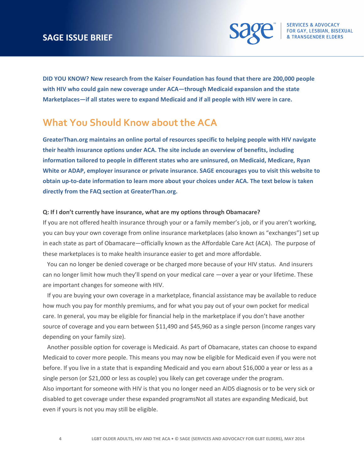### **SAGE ISSUE BRIEF**



**DID YOU KNOW? New research from the Kaiser Foundation has found that there are 200,000 people with HIV who could gain new coverage under ACA—through Medicaid expansion and the state Marketplaces—if all states were to expand Medicaid and if all people with HIV were in care.** 

### **What You Should Know about the ACA**

**GreaterThan.org maintains an online portal of resources specific to helping people with HIV navigate their health insurance options under ACA. The site include an overview of benefits, including information tailored to people in different states who are uninsured, on Medicaid, Medicare, Ryan White or ADAP, employer insurance or private insurance. SAGE encourages you to visit this website to** obtain up-to-date information to learn more about your choices under ACA. The text below is taken **directly from the FAQ section at GreaterThan.org.**

#### **Q: If I don't currently have insurance, what are my options through Obamacare?**

If you are not offered health insurance through your or a family member's job, or if you aren't working, you can buy your own coverage from online insurance marketplaces (also known as "exchanges") set up in each state as part of Obamacare—officially known as the Affordable Care Act (ACA). The purpose of these marketplaces is to make health insurance easier to get and more affordable.

 You can no longer be denied coverage or be charged more because of your HIV status. And insurers can no longer limit how much they'll spend on your medical care —over a year or your lifetime. These are important changes for someone with HIV.

 If you are buying your own coverage in a marketplace, financial assistance may be available to reduce how much you pay for monthly premiums, and for what you pay out of your own pocket for medical care. In general, you may be eligible for financial help in the marketplace if you don't have another source of coverage and you earn between \$11,490 and \$45,960 as a single person (income ranges vary depending on your family size).

 Another possible option for coverage is Medicaid. As part of Obamacare, states can choose to expand Medicaid to cover more people. This means you may now be eligible for Medicaid even if you were not before. If you live in a state that is expanding Medicaid and you earn about \$16,000 a year or less as a single person (or \$21,000 or less as couple) you likely can get coverage under the program. Also important for someone with HIV is that you no longer need an AIDS diagnosis or to be very sick or disabled to get coverage under these expanded programsNot all states are expanding Medicaid, but even if yours is not you may still be eligible.